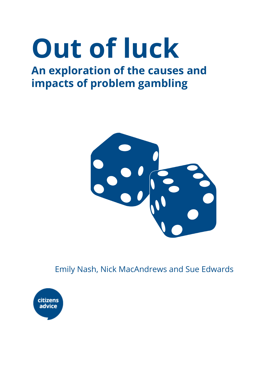# **Out of luck**

# **An exploration of the causes and impacts of problem gambling**



Emily Nash, Nick MacAndrews and Sue Edwards

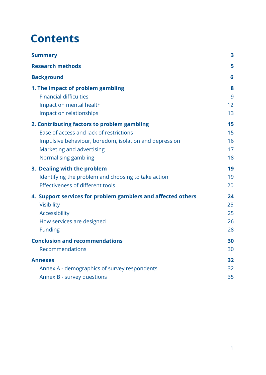# **Contents**

| <b>Summary</b>                                               | 3  |
|--------------------------------------------------------------|----|
| <b>Research methods</b>                                      | 5  |
| <b>Background</b>                                            | 6  |
| 1. The impact of problem gambling                            | 8  |
| <b>Financial difficulties</b>                                | 9  |
| Impact on mental health                                      | 12 |
| Impact on relationships                                      | 13 |
| 2. Contributing factors to problem gambling                  | 15 |
| Ease of access and lack of restrictions                      | 15 |
| Impulsive behaviour, boredom, isolation and depression       | 16 |
| Marketing and advertising                                    | 17 |
| Normalising gambling                                         | 18 |
| 3. Dealing with the problem                                  | 19 |
| Identifying the problem and choosing to take action          | 19 |
| Effectiveness of different tools                             | 20 |
| 4. Support services for problem gamblers and affected others | 24 |
| <b>Visibility</b>                                            | 25 |
| Accessibility                                                | 25 |
| How services are designed                                    | 26 |
| <b>Funding</b>                                               | 28 |
| <b>Conclusion and recommendations</b>                        | 30 |
| Recommendations                                              | 30 |
| <b>Annexes</b>                                               | 32 |
| Annex A - demographics of survey respondents                 | 32 |
| Annex B - survey questions                                   | 35 |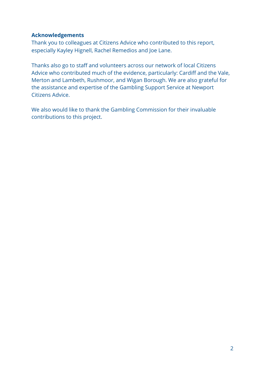#### **Acknowledgements**

Thank you to colleagues at Citizens Advice who contributed to this report, especially Kayley Hignell, Rachel Remedios and Joe Lane.

Thanks also go to staff and volunteers across our network of local Citizens Advice who contributed much of the evidence, particularly: Cardiff and the Vale, Merton and Lambeth, Rushmoor, and Wigan Borough. We are also grateful for the assistance and expertise of the Gambling Support Service at Newport Citizens Advice.

We also would like to thank the Gambling Commission for their invaluable contributions to this project.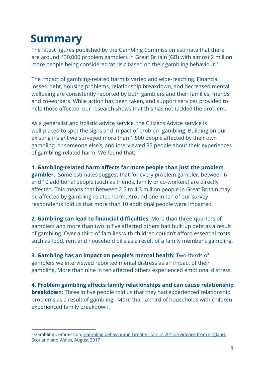# <span id="page-3-0"></span>**Summary**

The latest figures published by the Gambling Commission estimate that there are around 430,000 problem gamblers in Great Britain (GB) with almost 2 million more people being considered 'at risk' based on their gambling behaviour.<sup>1</sup>

The impact of gambling-related harm is varied and wide-reaching. Financial losses, debt, housing problems, relationship breakdown, and decreased mental wellbeing are consistently reported by both gamblers and their families, friends, and co-workers. While action has been taken, and support services provided to help those affected, our research shows that this has not tackled the problem.

As a generalist and holistic advice service, the Citizens Advice service is well-placed to spot the signs and impact of problem gambling. Building on our existing insight we surveyed more than 1,500 people affected by their own gambling, or someone else's, and interviewed 35 people about their experiences of gambling-related harm. We found that:

**1. Gambling-related harm affects far more people than just the problem gambler.**  Some estimates suggest that for every problem gambler, between 6 and 10 additional people (such as friends, family or co-workers) are directly affected. This means that between 2.5 to 4.3 million people in Great Britain may be affected by gambling-related harm. Around one in ten of our survey respondents told us that more than 10 additional people were impacted.

**2. Gambling can lead to financial difficulties:** More than three-quarters of gamblers and more than two in five affected others had built up debt as a result of gambling. Over a third of families with children couldn't afford essential costs such as food, rent and household bills as a result of a family member's gambling.

**3. Gambling has an impact on people's mental health:** Two-thirds of gamblers we interviewed reported mental distress as an impact of their gambling. More than nine in ten affected others experienced emotional distress.

**4. Problem gambling affects family relationships and can cause relationship breakdown:** Three in five people told us that they had experienced relationship problems as a result of gambling. More than a third of households with children experienced family breakdown.

<sup>&</sup>lt;sup>1</sup> Gambling Commission, Gambling [behaviour](http://www.gamblingcommission.gov.uk/PDF/survey-data/Gambling-behaviour-in-Great-Britain-2015.pdf) in Great Britain in 2015: Evidence from England, [Scotland](http://www.gamblingcommission.gov.uk/PDF/survey-data/Gambling-behaviour-in-Great-Britain-2015.pdf) and Wales, August 2017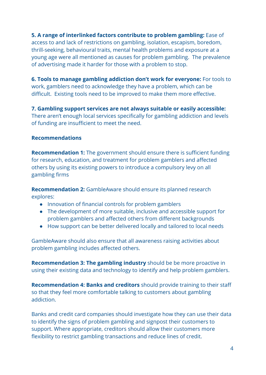**5. A range of interlinked factors contribute to problem gambling:** Ease of access to and lack of restrictions on gambling, isolation, escapism, boredom, thrill-seeking, behavioural traits, mental health problems and exposure at a young age were all mentioned as causes for problem gambling. The prevalence of advertising made it harder for those with a problem to stop.

**6. Tools to manage gambling addiction don't work for everyone:** For tools to work, gamblers need to acknowledge they have a problem, which can be difficult. Existing tools need to be improved to make them more effective.

**7. Gambling support services are not always suitable or easily accessible:** There aren't enough local services specifically for gambling addiction and levels of funding are insufficient to meet the need.

#### **Recommendations**

**Recommendation 1:** The government should ensure there is sufficient funding for research, education, and treatment for problem gamblers and affected others by using its existing powers to introduce a compulsory levy on all gambling firms

**Recommendation 2:** GambleAware should ensure its planned research explores:

- Innovation of financial controls for problem gamblers
- The development of more suitable, inclusive and accessible support for problem gamblers and affected others from different backgrounds
- How support can be better delivered locally and tailored to local needs

GambleAware should also ensure that all awareness raising activities about problem gambling includes affected others.

**Recommendation 3: The gambling industry** should be be more proactive in using their existing data and technology to identify and help problem gamblers.

**Recommendation 4: Banks and creditors** should provide training to their staff so that they feel more comfortable talking to customers about gambling addiction.

Banks and credit card companies should investigate how they can use their data to identify the signs of problem gambling and signpost their customers to support. Where appropriate, creditors should allow their customers more flexibility to restrict gambling transactions and reduce lines of credit.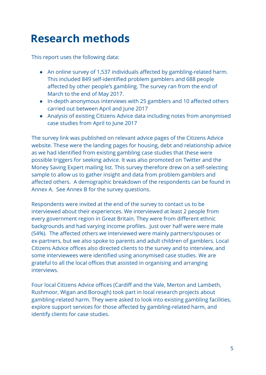# <span id="page-5-0"></span>**Research methods**

This report uses the following data:

- An online survey of 1,537 individuals affected by gambling-related harm. This included 849 self-identified problem gamblers and 688 people affected by other people's gambling. The survey ran from the end of March to the end of May 2017.
- In-depth anonymous interviews with 25 gamblers and 10 affected others carried out between April and June 2017
- Analysis of existing Citizens Advice data including notes from anonymised case studies from April to June 2017

The survey link was published on relevant advice pages of the Citizens Advice website. These were the landing pages for housing, debt and relationship advice as we had identified from existing gambling case studies that these were possible triggers for seeking advice. It was also promoted on Twitter and the Money Saving Expert mailing list. This survey therefore drew on a self-selecting sample to allow us to gather insight and data from problem gamblers and affected others. A demographic breakdown of the respondents can be found in Annex A. See Annex B for the survey questions.

Respondents were invited at the end of the survey to contact us to be interviewed about their experiences. We interviewed at least 2 people from every government region in Great Britain. They were from different ethnic backgrounds and had varying income profiles. Just over half were were male (54%). The affected others we interviewed were mainly partners/spouses or ex-partners, but we also spoke to parents and adult children of gamblers. Local Citizens Advice offices also directed clients to the survey and to interview, and some interviewees were identified using anonymised case studies. We are grateful to all the local offices that assisted in organising and arranging interviews.

Four local Citizens Advice offices (Cardiff and the Vale, Merton and Lambeth, Rushmoor, Wigan and Borough) took part in local research projects about gambling-related harm. They were asked to look into existing gambling facilities, explore support services for those affected by gambling-related harm, and identify clients for case studies.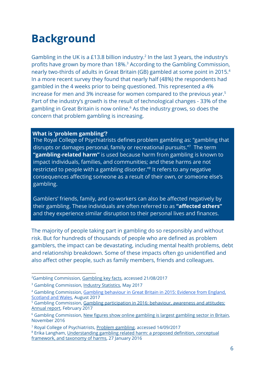# <span id="page-6-0"></span>**Background**

Gambling in the UK is a £13.8 billion industry.<sup>2</sup> In the last 3 years, the industry's profits have grown by more than 18%.<sup>3</sup> According to the Gambling Commission, nearly two-thirds of adults in Great Britain (GB) gambled at some point in 2015.<sup>4</sup> In a more recent survey they found that nearly half (48%) the respondents had gambled in the 4 weeks prior to being questioned. This represented a 4% increase for men and 3% increase for women compared to the previous year.<sup>5</sup> Part of the industry's growth is the result of technological changes - 33% of the gambling in Great Britain is now online.<sup>6</sup> As the industry grows, so does the concern that problem gambling is increasing.

#### **What is 'problem gambling'?**

The Royal College of Psychiatrists defines problem gambling as: "gambling that disrupts or damages personal, family or recreational pursuits."<sup>7</sup> The term **"gambling-related harm"** is used because harm from gambling is known to impact individuals, families, and communities; and these harms are not restricted to people with a gambling disorder."<sup>8</sup> It refers to any negative consequences affecting someone as a result of their own, or someone else's gambling.

Gamblers' friends, family, and co-workers can also be affected negatively by their gambling. These individuals are often referred to as **"affected others"** and they experience similar disruption to their personal lives and finances.

The majority of people taking part in gambling do so responsibly and without risk. But for hundreds of thousands of people who are defined as problem gamblers, the impact can be devastating, including mental health problems, debt and relationship breakdown. Some of these impacts often go unidentified and also affect other people, such as family members, friends and colleagues.

<sup>&</sup>lt;sup>2</sup>[Gambling](http://www.gamblingcommission.gov.uk/news-action-and-statistics/Statistics-and-research/Statistics/Gambling-key-facts.aspx) Commission, Gambling key facts, accessed 21/08/2017

<sup>&</sup>lt;sup>3</sup> Gambling Commission, **Industry [Statistics](http://www.gamblingcommission.gov.uk/PDF/survey-data/Gambling-industry-statistics.pdf)**, May 2017

<sup>4</sup> Gambling Commission, Gambling [behaviour](http://www.gamblingcommission.gov.uk/PDF/survey-data/Gambling-behaviour-in-Great-Britain-2015.pdf) in Great Britain in 2015: Evidence from England, [Scotland](http://www.gamblingcommission.gov.uk/PDF/survey-data/Gambling-behaviour-in-Great-Britain-2015.pdf) and Wales, August 2017

<sup>&</sup>lt;sup>5</sup> Gambling Commission, Gambling [participation](http://live-gamblecom.cloud.contensis.com/PDF/survey-data/Gambling-participation-in-2016-behaviour-awareness-and-attitudes.pdf) in 2016: behaviour, awareness and attitudes: [Annual](http://live-gamblecom.cloud.contensis.com/PDF/survey-data/Gambling-participation-in-2016-behaviour-awareness-and-attitudes.pdf) report, February 2017

<sup>&</sup>lt;sup>6</sup> Gambling Commission, New figures show online [gambling](http://www.gamblingcommission.gov.uk/news-action-and-statistics/news/2016/New-figures-show-online-gambling-is-largest-gambling-sector-in-Britain.aspx) is largest gambling sector in Britain, November 2016

<sup>&</sup>lt;sup>7</sup> Royal College of Psychiatrists, Problem [gambling,](http://www.rcpsych.ac.uk/healthadvice/problemsdisorders/problemgambling.aspx) accessed 14/09/2017

<sup>&</sup>lt;sup>8</sup> Erika Langham, [Understanding](https://bmcpublichealth.biomedcentral.com/articles/10.1186/s12889-016-2747-0) gambling related harm: a proposed definition, conceptual [framework,](https://bmcpublichealth.biomedcentral.com/articles/10.1186/s12889-016-2747-0) and taxonomy of harms, 27 January 2016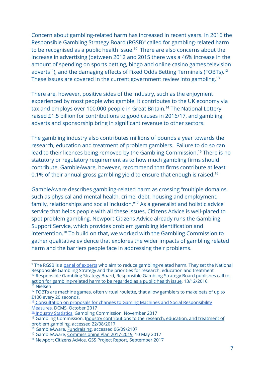Concern about gambling-related harm has increased in recent years. In 2016 the Responsible Gambling Strategy Board (RGSB)<sup>9</sup> called for gambling-related harm to be recognised as a public health issue.<sup>10</sup> There are also concerns about the increase in advertising (between 2012 and 2015 there was a 46% increase in the amount of spending on sports betting, bingo and online casino games television adverts<sup>11</sup>), and the damaging effects of Fixed Odds Betting Terminals (FOBTs).<sup>12</sup> These issues are covered in the current government review into gambling.<sup>13</sup>

There are, however, positive sides of the industry, such as the enjoyment experienced by most people who gamble. It contributes to the UK economy via tax and employs over 100,000 people in Great Britain.<sup>14</sup> The National Lottery raised £1.5 billion for contributions to good causes in 2016/17, and gambling adverts and sponsorship bring in significant revenue to other sectors.

The gambling industry also contributes millions of pounds a year towards the research, education and treatment of problem gamblers. Failure to do so can lead to their licences being removed by the Gambling Commission.<sup>15</sup> There is no statutory or regulatory requirement as to how much gambling firms should contribute. GambleAware, however, recommend that firms contribute at least 0.1% of their annual gross gambling yield to ensure that enough is raised.<sup>16</sup>

GambleAware describes gambling-related harm as crossing "multiple domains, such as physical and mental health, crime, debt, housing and employment, family, relationships and social inclusion."<sup>17</sup> As a generalist and holistic advice service that helps people with all these issues, Citizens Advice is well-placed to spot problem gambling. Newport Citizens Advice already runs the Gambling Support Service, which provides problem gambling identification and intervention.<sup>18</sup> To build on that, we worked with the Gambling Commission to gather qualitative evidence that explores the wider impacts of gambling related harm and the barriers people face in addressing their problems.

<sup>&</sup>lt;sup>9</sup> The RGSB is a panel of experts who aim to reduce gambling-related harm. They set the National Responsible Gambling Strategy and the priorities for research, education and treatment <sup>10</sup> [Responsible](http://www.rgsb.org.uk/News/2016/RGSB-action-for-gambling-related-harm-to-be-regarded-as-public-health-issue.aspx) Gambling Strategy Board, Responsible Gambling Strategy Board publishes call to

action for [gambling-related](http://www.rgsb.org.uk/News/2016/RGSB-action-for-gambling-related-harm-to-be-regarded-as-public-health-issue.aspx) harm to be regarded as a public health issue, 13/12/2016 <sup>11</sup> Nielsen

 $12$  FOBTs are machine games, often virtual roulette, that allow gamblers to make bets of up to £100 every 20 seconds.

<sup>&</sup>lt;sup>13</sup> Consultation on proposals for changes to Gaming Machines and Social [Responsibility](https://www.gov.uk/government/uploads/system/uploads/attachment_data/file/655969/Consultation_on_proposals_for_changes_to_Gaming_Machines_and_Social_Responsibility_Measures.pdf) [Measures](https://www.gov.uk/government/uploads/system/uploads/attachment_data/file/655969/Consultation_on_proposals_for_changes_to_Gaming_Machines_and_Social_Responsibility_Measures.pdf), DCMS, October 2017

<sup>14</sup> Industry [Statistics](http://www.gamblingcommission.gov.uk/news-action-and-statistics/Statistics-and-research/Statistics/Industry-statistics.aspx), Gambling Commission, November 2017

<sup>&</sup>lt;sup>15</sup> Gambling Commission, Industry [contributions](http://www.gamblingcommission.gov.uk/for-gambling-businesses/Compliance/General-compliance/Social-responsibility/Research-education-and-treatment-contributions.aspx) to the research, education, and treatment of problem [gambling](http://www.gamblingcommission.gov.uk/for-gambling-businesses/Compliance/General-compliance/Social-responsibility/Research-education-and-treatment-contributions.aspx), accessed 22/08/2017

<sup>&</sup>lt;sup>16</sup> GambleAware, *Fundraising*, accessed 06/09/2107

<sup>17</sup> GambleAware, [Commissioning](https://about.gambleaware.org/media/1480/gambleaware-commissioning-plan-2017-19.pdf) Plan 2017-2019, 10 May 2017

<sup>18</sup> Newport Citizens Advice, GSS Project Report, September 2017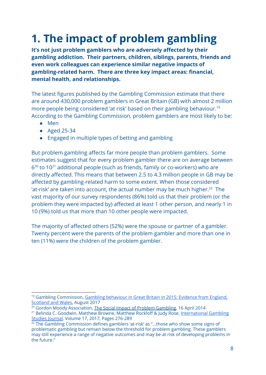# <span id="page-8-0"></span>**1. The impact of problem gambling**

**It's not just problem gamblers who are adversely affected by their gambling addiction. Their partners, children, siblings, parents, friends and even work colleagues can experience similar negative impacts of gambling-related harm. There are three key impact areas: financial, mental health, and relationships.**

The latest figures published by the Gambling Commission estimate that there are around 430,000 problem gamblers in Great Britain (GB) with almost 2 million more people being considered 'at risk' based on their gambling behaviour.<sup>19</sup> According to the Gambling Commission, problem gamblers are most likely to be:

- Men
- Aged 25-34
- Engaged in multiple types of betting and gambling

But problem gambling affects far more people than problem gamblers. Some estimates suggest that for every problem gambler there are on average between  $6<sup>20</sup>$  to 10<sup>21</sup> additional people (such as friends, family or co-workers) who are directly affected. This means that between 2.5 to 4.3 million people in GB may be affected by gambling-related harm to some extent. When those considered 'at-risk' are taken into account, the actual number may be much higher.<sup>22</sup> The vast majority of our survey respondents (86%) told us that their problem (or the problem they were impacted by) affected at least 1 other person, and nearly 1 in 10 (9%) told us that more than 10 other people were impacted.

The majority of affected others (52%) were the spouse or partner of a gambler. Twenty percent were the parents of the problem gambler and more than one in ten (11%) were the children of the problem gambler.

<sup>&</sup>lt;sup>19</sup> Gambling Commission, Gambling [behaviour](http://www.gamblingcommission.gov.uk/PDF/survey-data/Gambling-behaviour-in-Great-Britain-2015.pdf) in Great Britain in 2015: Evidence from England, [Scotland](http://www.gamblingcommission.gov.uk/PDF/survey-data/Gambling-behaviour-in-Great-Britain-2015.pdf) and Wales, August 2017

<sup>&</sup>lt;sup>20</sup> Gordon Moody Association, The Social Impact of Problem Gambling, 16 April 2014 <sup>21</sup> Belinda C. Goodwin, Matthew Browne, Matthew Rockloff & Judy Rose, International Gambling Studies Journal, Volume 17, 2017, Pages 276-289

<sup>&</sup>lt;sup>22</sup> The Gambling Commission defines gamblers 'at-risk' as "...those who show some signs of problematic gambling but remain below the threshold for problem gambling. These gamblers may still experience a range of negative outcomes and may be at risk of developing problems in the future."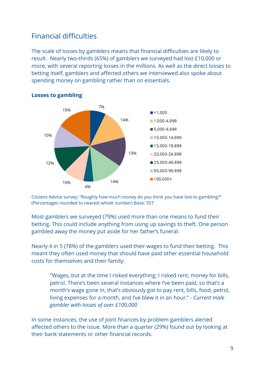### <span id="page-9-0"></span>Financial difficulties

The scale of losses by gamblers means that financial difficulties are likely to result. Nearly two-thirds (65%) of gamblers we surveyed had lost £10,000 or more, with several reporting losses in the millions. As well as the direct losses to betting itself, gamblers and affected others we interviewed also spoke about spending money on gambling rather than on essentials.



#### **Losses to gambling**

Citizens Advice survey: "Roughly how much money do you think you have lost to gambling?" (Percentages rounded to nearest whole number) Base: 557

Most gamblers we surveyed (79%) used more than one means to fund their betting. This could include anything from using up savings to theft. One person gambled away the money put aside for her father's funeral.

Nearly 4 in 5 (78%) of the gamblers used their wages to fund their betting. This meant they often used money that should have paid other essential household costs for themselves and their family:

"Wages, but at the time I risked everything; I risked rent, money for bills, petrol. There's been several instances where I've been paid, so that's a month's wage gone in, that's obviously got to pay rent, bills, food, petrol, living expenses for a month, and I've blew it in an hour." - *Current male gambler with losses of over £100,000*

In some instances, the use of joint finances by problem gamblers alerted affected others to the issue. More than a quarter (29%) found out by looking at their bank statements or other financial records.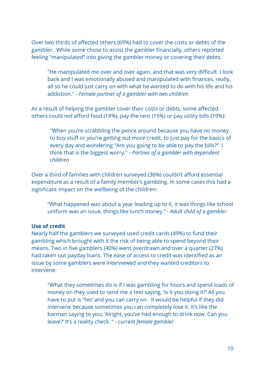Over two thirds of affected others (69%) had to cover the costs or debts of the gambler. While some chose to assist the gambler financially, others reported feeling "manipulated" into giving the gambler money or covering their debts.

"He manipulated me over and over again, and that was very difficult. I look back and I was emotionally abused and manipulated with finances, really, all so he could just carry on with what he wanted to do with his life and his addiction." - *Female partner of a gambler with two children*

As a result of helping the gambler cover their costs or debts, some affected others could not afford food (18%), pay the rent (15%) or pay utility bills (19%):

"When you're scrabbling the pence around because you have no money to buy stuff or you're getting out more credit, to just pay for the basics of every day and wondering "Are you going to be able to pay the bills?" I think that is the biggest worry." - *Partner of a gambler with dependent children*

Over a third of families with children surveyed (36%) couldn't afford essential expenditure as a result of a family member's gambling. In some cases this had a significant impact on the wellbeing of the children:

"What happened was about a year leading up to it, it was things like school uniform was an issue, things like lunch money." - *Adult child of a gambler*

#### **Use of credit**

Nearly half the gamblers we surveyed used credit cards (49%) to fund their gambling which brought with it the risk of being able to spend beyond their means. Two in five gamblers (40%) went overdrawn and over a quarter (27%) had taken out payday loans. The ease of access to credit was identified as an issue by some gamblers were interviewed and they wanted creditors to intervene:

"What they sometimes do is if I was gambling for hours and spend loads of money on they used to send me a text saying, 'Is it you doing it?' All you have to put is 'Yes' and you can carry on. It would be helpful if they did intervene because sometimes you can completely lose it. It's like the barman saying to you, 'Alright, you've had enough to drink now. Can you leave?' It's a reality check. " *- current female gambler*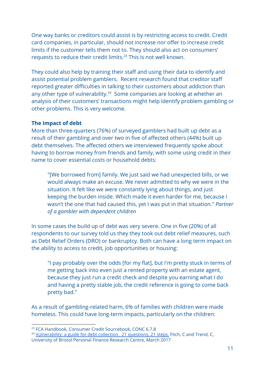One way banks or creditors could assist is by restricting access to credit. Credit card companies, in particular, should not increase nor offer to increase credit limits if the customer tells them not to. They should also act on consumers' requests to reduce their credit limits.<sup>23</sup> This is not well known.

They could also help by training their staff and using their data to identify and assist potential problem gamblers. Recent research found that creditor staff reported greater difficulties in talking to their customers about addiction than any other type of vulnerability.<sup>24</sup> Some companies are looking at whether an analysis of their customers' transactions might help identify problem gambling or other problems. This is very welcome.

#### **The impact of debt**

More than three-quarters (76%) of surveyed gamblers had built up debt as a result of their gambling and over two in five of affected others (44%) built up debt themselves. The affected others we interviewed frequently spoke about having to borrow money from friends and family, with some using credit in their name to cover essential costs or household debts:

"[We borrowed from] family. We just said we had unexpected bills, or we would always make an excuse. We never admitted to why we were in the situation. It felt like we were constantly lying about things, and just keeping the burden inside. Which made it even harder for me, because I wasn't the one that had caused this, yet I was put in that situation." *Partner of a gambler with dependent children*

In some cases the build up of debt was very severe. One in five (20%) of all respondents to our survey told us they they took out debt relief measures, such as Debt Relief Orders (DRO) or bankruptcy. Both can have a long term impact on the ability to access to credit, job opportunities or housing:

"I pay probably over the odds [for my flat], but I'm pretty stuck in terms of me getting back into even just a rented property with an estate agent, because they just run a credit check and despite you earning what I do and having a pretty stable job, the credit reference is going to come back pretty bad."

As a result of gambling-related harm, 6% of families with children were made homeless. This could have long-term impacts, particularly on the children:

<sup>23</sup> FCA Handbook, Consumer Credit Sourcebook, CONC 6.7.8

<sup>&</sup>lt;sup>24</sup> [Vulnerability:](http://www.bris.ac.uk/media-library/sites/geography/pfrc/pfrc1701-21-steps-vulnerability-and-debt-collection-(web).pdf) a guide for debt collection. 21 questions, 21 steps, Fitch, C and Trend, C, University of Bristol Personal Finance Research Centre, March 2017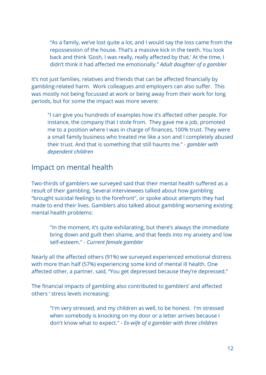"As a family, we've lost quite a lot, and I would say the loss came from the repossession of the house. That's a massive kick in the teeth. You look back and think 'Gosh, I was really, really affected by that.' At the time, I didn't think it had affected me emotionally." *Adult daughter of a gambler*

It's not just families, relatives and friends that can be affected financially by gambling-related harm. Work colleagues and employers can also suffer. This was mostly not being focussed at work or being away from their work for long periods, but for some the impact was more severe:

"I can give you hundreds of examples how it's affected other people. For instance, the company that I stole from. They gave me a job, promoted me to a position where I was in charge of finances, 100% trust. They were a small family business who treated me like a son and I completely abused their trust. And that is something that still haunts me." - *gambler with dependent children*

### <span id="page-12-0"></span>Impact on mental health

Two-thirds of gamblers we surveyed said that their mental health suffered as a result of their gambling. Several interviewees talked about how gambling "brought suicidal feelings to the forefront", or spoke about attempts they had made to end their lives. Gamblers also talked about gambling worsening existing mental health problems:

"In the moment, it's quite exhilarating, but there's always the immediate bring down and guilt then shame, and that feeds into my anxiety and low self-esteem." - *Current female gambler*

Nearly all the affected others (91%) we surveyed experienced emotional distress with more than half (57%) experiencing some kind of mental ill health. One affected other, a partner, said, "You get depressed because they're depressed."

The financial impacts of gambling also contributed to gamblers' and affected others ' stress levels increasing:

"I'm very stressed, and my children as well, to be honest. I'm stressed when somebody is knocking on my door or a letter arrives because I don't know what to expect." - *Ex-wife of a gambler with three children*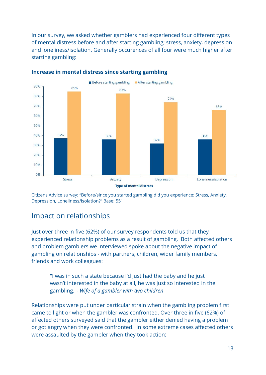In our survey, we asked whether gamblers had experienced four different types of mental distress before and after starting gambling; stress, anxiety, depression and loneliness/isolation. Generally occurences of all four were much higher after starting gambling:



#### **Increase in mental distress since starting gambling**

Citizens Advice survey: "Before/since you started gambling did you experience: Stress, Anxiety, Depression, Loneliness/isolation?" Base: 551

### <span id="page-13-0"></span>Impact on relationships

Just over three in five (62%) of our survey respondents told us that they experienced relationship problems as a result of gambling. Both affected others and problem gamblers we interviewed spoke about the negative impact of gambling on relationships - with partners, children, wider family members, friends and work colleagues:

"I was in such a state because I'd just had the baby and he just wasn't interested in the baby at all, he was just so interested in the gambling."- *Wife of a gambler with two children*

Relationships were put under particular strain when the gambling problem first came to light or when the gambler was confronted. Over three in five (62%) of affected others surveyed said that the gambler either denied having a problem or got angry when they were confronted. In some extreme cases affected others were assaulted by the gambler when they took action: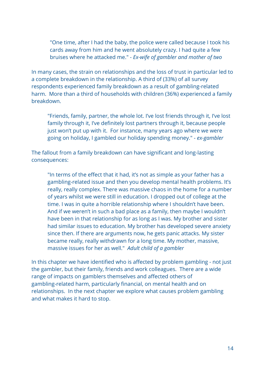"One time, after I had the baby, the police were called because I took his cards away from him and he went absolutely crazy. I had quite a few bruises where he attacked me." - *Ex-wife of gambler and mother of two*

In many cases, the strain on relationships and the loss of trust in particular led to a complete breakdown in the relationship. A third of (33%) of all survey respondents experienced family breakdown as a result of gambling-related harm. More than a third of households with children (36%) experienced a family breakdown.

"Friends, family, partner, the whole lot. I've lost friends through it, I've lost family through it, I've definitely lost partners through it, because people just won't put up with it. For instance, many years ago where we were going on holiday, I gambled our holiday spending money." *- ex-gambler*

The fallout from a family breakdown can have significant and long-lasting consequences:

"In terms of the effect that it had, it's not as simple as your father has a gambling-related issue and then you develop mental health problems. It's really, really complex. There was massive chaos in the home for a number of years whilst we were still in education. I dropped out of college at the time. I was in quite a horrible relationship where I shouldn't have been. And if we weren't in such a bad place as a family, then maybe I wouldn't have been in that relationship for as long as I was. My brother and sister had similar issues to education. My brother has developed severe anxiety since then. If there are arguments now, he gets panic attacks. My sister became really, really withdrawn for a long time. My mother, massive, massive issues for her as well." *Adult child of a gambler*

In this chapter we have identified who is affected by problem gambling - not just the gambler, but their family, friends and work colleagues. There are a wide range of impacts on gamblers themselves and affected others of gambling-related harm, particularly financial, on mental health and on relationships. In the next chapter we explore what causes problem gambling and what makes it hard to stop.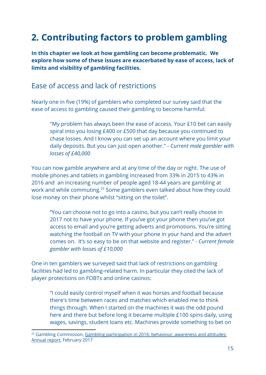# <span id="page-15-0"></span>**2. Contributing factors to problem gambling**

**In this chapter we look at how gambling can become problematic. We explore how some of these issues are exacerbated by ease of access, lack of limits and visibility of gambling facilities.**

### <span id="page-15-1"></span>Ease of access and lack of restrictions

Nearly one in five (19%) of gamblers who completed our survey said that the ease of access to gambling caused their gambling to become harmful:

"My problem has always been the ease of access. Your £10 bet can easily spiral into you losing £400 or £500 that day because you continued to chase losses. And I know you can set up an account where you limit your daily deposits. But you can just open another." - *Current male gambler with losses of £40,000*

You can now gamble anywhere and at any time of the day or night. The use of mobile phones and tablets in gambling increased from 33% in 2015 to 43% in 2016 and an increasing number of people aged 18-44 years are gambling at work and while commuting.<sup>25</sup> Some gamblers even talked about how they could lose money on their phone whilst "sitting on the toilet".

"You can choose not to go into a casino, but you can't really choose in 2017 not to have your phone. If you've got your phone then you've got access to email and you're getting adverts and promotions. You're sitting watching the football on TV with your phone in your hand and the advert comes on. It's so easy to be on that website and register." - *Current female gambler with losses of £10,000*

One in ten gamblers we surveyed said that lack of restrictions on gambling facilities had led to gambling-related harm. In particular they cited the lack of player protections on FOBTs and online casinos:

"I could easily control myself when it was horses and football because there's time between races and matches which enabled me to think things through. When I started on the machines it was the odd pound here and there but before long it became multiple £100 spins daily, using wages, savings, student loans etc. Machines provide something to bet on

<sup>&</sup>lt;sup>25</sup> Gambling Commission, Gambling participation in 2016: behaviour, awareness and attitudes: Annual report, February 2017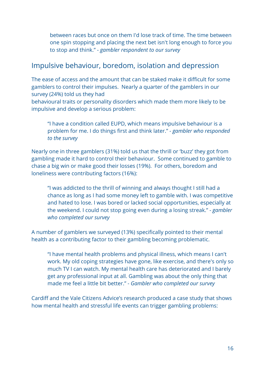between races but once on them I'd lose track of time. The time between one spin stopping and placing the next bet isn't long enough to force you to stop and think." - *gambler respondent to our survey*

### <span id="page-16-0"></span>Impulsive behaviour, boredom, isolation and depression

The ease of access and the amount that can be staked make it difficult for some gamblers to control their impulses. Nearly a quarter of the gamblers in our survey (24%) told us they had

behavioural traits or personality disorders which made them more likely to be impulsive and develop a serious problem:

"I have a condition called EUPD, which means impulsive behaviour is a problem for me. I do things first and think later." *- gambler who responded to the survey*

Nearly one in three gamblers (31%) told us that the thrill or 'buzz' they got from gambling made it hard to control their behaviour. Some continued to gamble to chase a big win or make good their losses (19%). For others, boredom and loneliness were contributing factors (16%):

"I was addicted to the thrill of winning and always thought I still had a chance as long as I had some money left to gamble with. I was competitive and hated to lose. I was bored or lacked social opportunities, especially at the weekend. I could not stop going even during a losing streak." *- gambler who completed our survey*

A number of gamblers we surveyed (13%) specifically pointed to their mental health as a contributing factor to their gambling becoming problematic.

"I have mental health problems and physical illness, which means I can't work. My old coping strategies have gone, like exercise, and there's only so much TV I can watch. My mental health care has deteriorated and I barely get any professional input at all. Gambling was about the only thing that made me feel a little bit better." - *Gambler who completed our survey*

Cardiff and the Vale Citizens Advice's research produced a case study that shows how mental health and stressful life events can trigger gambling problems: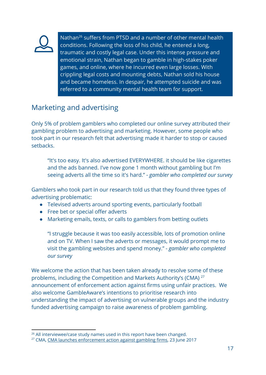

Nathan<sup>26</sup> suffers from PTSD and a number of other mental health conditions. Following the loss of his child, he entered a long, traumatic and costly legal case. Under this intense pressure and emotional strain, Nathan began to gamble in high-stakes poker games, and online, where he incurred even large losses. With crippling legal costs and mounting debts, Nathan sold his house and became homeless. In despair, he attempted suicide and was referred to a community mental health team for support.

# <span id="page-17-0"></span>Marketing and advertising

Only 5% of problem gamblers who completed our online survey attributed their gambling problem to advertising and marketing. However, some people who took part in our research felt that advertising made it harder to stop or caused setbacks.

"It's too easy. It's also advertised EVERYWHERE. it should be like cigarettes and the ads banned. I've now gone 1 month without gambling but I'm seeing adverts all the time so it's hard." *- gambler who completed our survey*

Gamblers who took part in our research told us that they found three types of advertising problematic:

- Televised adverts around sporting events, particularly football
- Free bet or special offer adverts
- Marketing emails, texts, or calls to gamblers from betting outlets

"I struggle because it was too easily accessible, lots of promotion online and on TV. When I saw the adverts or messages, it would prompt me to visit the gambling websites and spend money." *- gambler who completed our survey*

We welcome the action that has been taken already to resolve some of these problems, including the Competition and Markets Authority's (CMA) <sup>27</sup> announcement of enforcement action against firms using unfair practices. We also welcome GambleAware's intentions to prioritise research into understanding the impact of advertising on vulnerable groups and the industry funded advertising campaign to raise awareness of problem gambling.

<sup>&</sup>lt;sup>26</sup> All interviewee/case study names used in this report have been changed.

<sup>&</sup>lt;sup>27</sup> CMA, CMA launches [enforcement](https://www.gov.uk/government/news/cma-launches-enforcement-action-against-gambling-firms) action against gambling firms, 23 June 2017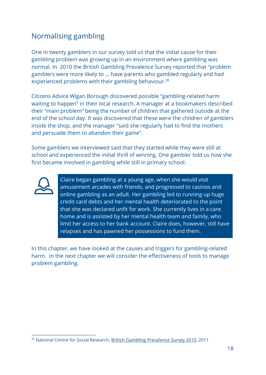# <span id="page-18-0"></span>Normalising gambling

One in twenty gamblers in our survey told us that the initial cause for their gambling problem was growing up in an environment where gambling was normal. In 2010 the British Gambling Prevalence Survey reported that "problem gamblers were more likely to … have parents who gambled regularly and had experienced problems with their gambling behaviour.<sup>28</sup>

Citizens Advice Wigan Borough discovered possible "gambling-related harm waiting to happen" in their local research. A manager at a bookmakers described their "main problem" being the number of children that gathered outside at the end of the school day. It was discovered that these were the children of gamblers inside the shop, and the manager "said she regularly had to find the mothers and persuade them to abandon their game".

Some gamblers we interviewed said that they started while they were still at school and experienced the initial thrill of winning. One gambler told us how she first became involved in gambling while still in primary school:



Claire began gambling at a young age, when she would visit amusement arcades with friends, and progressed to casinos and online gambling as an adult. Her gambling led to running up huge credit card debts and her mental health deteriorated to the point that she was declared unfit for work. She currently lives in a care home and is assisted by her mental health team and family, who limit her access to her bank account. Claire does, however, still have relapses and has pawned her possessions to fund them.

In this chapter, we have looked at the causes and triggers for gambling-related harm. In the next chapter we will consider the effectiveness of tools to manage problem gambling.

<sup>28</sup> National Centre for Social Research, British Gambling [Prevalence](https://www.gov.uk/government/uploads/system/uploads/attachment_data/file/243515/9780108509636.pdf) Survey 2010, 2011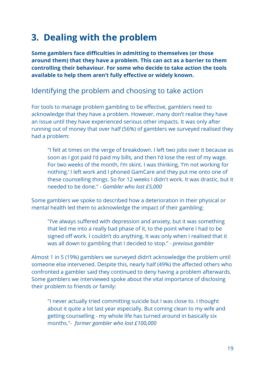# <span id="page-19-0"></span>**3. Dealing with the problem**

**Some gamblers face difficulties in admitting to themselves (or those around them) that they have a problem. This can act as a barrier to them controlling their behaviour. For some who decide to take action the tools available to help them aren't fully effective or widely known.**

### <span id="page-19-1"></span>Identifying the problem and choosing to take action

For tools to manage problem gambling to be effective, gamblers need to acknowledge that they have a problem. However, many don't realise they have an issue until they have experienced serious other impacts. It was only after running out of money that over half (56%) of gamblers we surveyed realised they had a problem:

"I felt at times on the verge of breakdown. I left two jobs over it because as soon as I got paid I'd paid my bills, and then I'd lose the rest of my wage. For two weeks of the month, I'm skint. I was thinking, 'I'm not working for nothing.' I left work and I phoned GamCare and they put me onto one of these counselling things. So for 12 weeks I didn't work. It was drastic, but it needed to be done." *- Gambler who lost £5,000*

Some gamblers we spoke to described how a deterioration in their physical or mental health led them to acknowledge the impact of their gambling:

"I've always suffered with depression and anxiety, but it was something that led me into a really bad phase of it, to the point where I had to be signed off work. I couldn't do anything. It was only when I realised that it was all down to gambling that I decided to stop." - *previous gambler*

Almost 1 in 5 (19%) gamblers we surveyed didn't acknowledge the problem until someone else intervened. Despite this, nearly half (49%) the affected others who confronted a gambler said they continued to deny having a problem afterwards. Some gamblers we interviewed spoke about the vital importance of disclosing their problem to friends or family:

"I never actually tried committing suicide but I was close to. I thought about it quite a lot last year especially. But coming clean to my wife and getting counselling - my whole life has turned around in basically six months."*- former gambler who lost £100,000*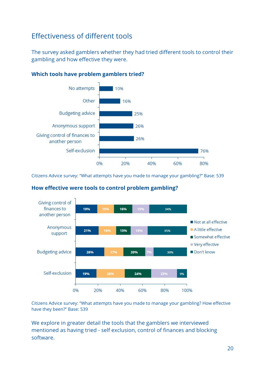# <span id="page-20-0"></span>Effectiveness of different tools

The survey asked gamblers whether they had tried different tools to control their gambling and how effective they were.



#### **Which tools have problem gamblers tried?**

Citizens Advice survey: "What attempts have you made to manage your gambling?" Base: 539



#### **How effective were tools to control problem gambling?**

Citizens Advice survey: "What attempts have you made to manage your gambling? How effective have they been?" Base: 539

We explore in greater detail the tools that the gamblers we interviewed mentioned as having tried - self exclusion, control of finances and blocking software.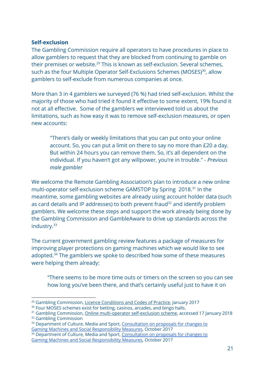#### **Self-exclusion**

The Gambling Commission require all operators to have procedures in place to allow gamblers to request that they are blocked from continuing to gamble on their premises or website. $29$  This is known as self-exclusion. Several schemes, such as the four Multiple Operator Self-Exclusions Schemes (MOSES)<sup>30</sup>, allow gamblers to self-exclude from numerous companies at once.

More than 3 in 4 gamblers we surveyed (76 %) had tried self-exclusion. Whilst the majority of those who had tried it found it effective to some extent, 19% found it not at all effective. Some of the gamblers we interviewed told us about the limitations, such as how easy it was to remove self-exclusion measures, or open new accounts:

"There's daily or weekly limitations that you can put onto your online account. So, you can put a limit on there to say no more than £20 a day. But within 24 hours you can remove them. So, it's all dependent on the individual. If you haven't got any willpower, you're in trouble." - *Previous male gambler*

We welcome the Remote Gambling Association's plan to introduce a new online multi-operator self-exclusion scheme GAMSTOP by Spring 2018.<sup>31</sup> In the meantime, some gambling websites are already using account holder data (such as card details and IP addresses) to both prevent fraud $32$  and identify problem gamblers. We welcome these steps and support the work already being done by the Gambling Commission and GambleAware to drive up standards across the industry.<sup>33</sup>

The current government gambling review features a package of measures for improving player protections on gaming machines which we would like to see adopted. $34$  The gamblers we spoke to described how some of these measures were helping them already:

"There seems to be more time outs or timers on the screen so you can see how long you've been there, and that's certainly useful just to have it on

<sup>32</sup> Gambling Commission

<sup>&</sup>lt;sup>29</sup> Gambling Commission, Licence [Conditions](http://live-gamblecom.cloud.contensis.com/PDF/LCCP/Licence-conditions-and-codes-of-practice.pdf) and Codes of Practice, January 2017

<sup>&</sup>lt;sup>30</sup> Four MOSES schemes exist for betting, casinos, arcades, and bingo halls.

<sup>&</sup>lt;sup>31</sup> Gambling Commission, *Online [multi-operator](http://www.gamblingcommission.gov.uk/for-gambling-businesses/Compliance/General-compliance/Social-responsibility/Self-exclusion/Online-multi-operator-self-exclusion-scheme.aspx) self-exclusion scheme*, accessed 17 January 2018

<sup>&</sup>lt;sup>33</sup> Department of Culture, Media and Sport, [Consultation](https://www.gov.uk/government/uploads/system/uploads/attachment_data/file/655969/Consultation_on_proposals_for_changes_to_Gaming_Machines_and_Social_Responsibility_Measures.pdf) on proposals for changes to Gaming Machines and Social [Responsibility](https://www.gov.uk/government/uploads/system/uploads/attachment_data/file/655969/Consultation_on_proposals_for_changes_to_Gaming_Machines_and_Social_Responsibility_Measures.pdf) Measures, October 2017

<sup>&</sup>lt;sup>34</sup> Department of Culture, Media and Sport, [Consultation](https://www.gov.uk/government/uploads/system/uploads/attachment_data/file/655969/Consultation_on_proposals_for_changes_to_Gaming_Machines_and_Social_Responsibility_Measures.pdf) on proposals for changes to Gaming Machines and Social [Responsibility](https://www.gov.uk/government/uploads/system/uploads/attachment_data/file/655969/Consultation_on_proposals_for_changes_to_Gaming_Machines_and_Social_Responsibility_Measures.pdf) Measures, October 2017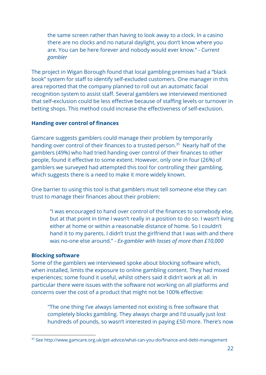the same screen rather than having to look away to a clock. In a casino there are no clocks and no natural daylight, you don't know where you are. You can be here forever and nobody would ever know." *- Current gambler*

The project in Wigan Borough found that local gambling premises had a "black book" system for staff to identify self-excluded customers. One manager in this area reported that the company planned to roll out an automatic facial recognition system to assist staff. Several gamblers we interviewed mentioned that self-exclusion could be less effective because of staffing levels or turnover in betting shops. This method could increase the effectiveness of self-exclusion.

#### **Handing over control of finances**

Gamcare suggests gamblers could manage their problem by temporarily handing over control of their finances to a trusted person.<sup>35</sup> Nearly half of the gamblers (49%) who had tried handing over control of their finances to other people, found it effective to some extent. However, only one in four (26%) of gamblers we surveyed had attempted this tool for controlling their gambling, which suggests there is a need to make it more widely known.

One barrier to using this tool is that gamblers must tell someone else they can trust to manage their finances about their problem:

"I was encouraged to hand over control of the finances to somebody else, but at that point in time I wasn't really in a position to do so. I wasn't living either at home or within a reasonable distance of home. So I couldn't hand it to my parents. I didn't trust the girlfriend that I was with and there was no-one else around." - *Ex-gambler with losses of more than £10,000*

#### **Blocking software**

Some of the gamblers we interviewed spoke about blocking software which, when installed, limits the exposure to online gambling content. They had mixed experiences; some found it useful, whilst others said it didn't work at all. In particular there were issues with the software not working on all platforms and concerns over the cost of a product that might not be 100% effective:

"The one thing I've always lamented not existing is free software that completely blocks gambling. They always charge and I'd usually just lost hundreds of pounds, so wasn't interested in paying £50 more. There's now

<sup>35</sup> See http://www.gamcare.org.uk/get-advice/what-can-you-do/finance-and-debt-management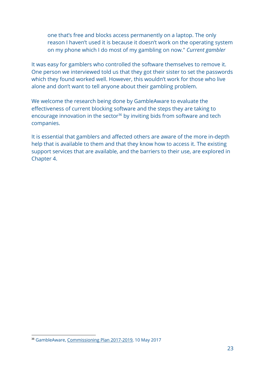one that's free and blocks access permanently on a laptop. The only reason I haven't used it is because it doesn't work on the operating system on my phone which I do most of my gambling on now." *Current gambler*

It was easy for gamblers who controlled the software themselves to remove it. One person we interviewed told us that they got their sister to set the passwords which they found worked well. However, this wouldn't work for those who live alone and don't want to tell anyone about their gambling problem.

We welcome the research being done by GambleAware to evaluate the effectiveness of current blocking software and the steps they are taking to encourage innovation in the sector<sup>36</sup> by inviting bids from software and tech companies.

It is essential that gamblers and affected others are aware of the more in-depth help that is available to them and that they know how to access it. The existing support services that are available, and the barriers to their use, are explored in Chapter 4.

<sup>36</sup> GambleAware, [Commissioning](https://about.gambleaware.org/media/1480/gambleaware-commissioning-plan-2017-19.pdf) Plan 2017-2019, 10 May 2017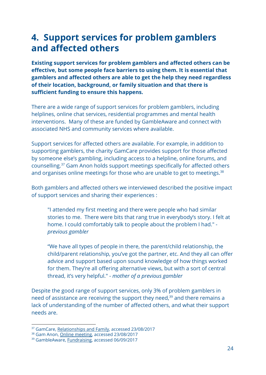# <span id="page-24-0"></span>**4. Support services for problem gamblers and affected others**

**Existing support services for problem gamblers and affected others can be effective, but some people face barriers to using them. It is essential that gamblers and affected others are able to get the help they need regardless of their location, background, or family situation and that there is sufficient funding to ensure this happens.**

There are a wide range of support services for problem gamblers, including helplines, online chat services, residential programmes and mental health interventions. Many of these are funded by GambleAware and connect with associated NHS and community services where available.

Support services for affected others are available. For example, in addition to supporting gamblers, the charity GamCare provides support for those affected by someone else's gambling, including access to a helpline, online forums, and counselling.<sup>37</sup> Gam Anon holds support meetings specifically for affected others and organises online meetings for those who are unable to get to meetings. $38$ 

Both gamblers and affected others we interviewed described the positive impact of support services and sharing their experiences :

"I attended my first meeting and there were people who had similar stories to me. There were bits that rang true in everybody's story. I felt at home. I could comfortably talk to people about the problem I had."  *previous gambler*

"We have all types of people in there, the parent/child relationship, the child/parent relationship, you've got the partner, etc. And they all can offer advice and support based upon sound knowledge of how things worked for them. They're all offering alternative views, but with a sort of central thread, it's very helpful." *- mother of a previous gambler*

Despite the good range of support services, only 3% of problem gamblers in need of assistance are receiving the support they need, $39$  and there remains a lack of understanding of the number of affected others, and what their support needs are.

<sup>&</sup>lt;sup>37</sup> GamCare, [Relationships](http://www.gamcare.org.uk/get-advice/how-can-gambling-affect-your-life/relationships-and-family) and Family, accessed 23/08/2017

<sup>38</sup> Gam Anon, Online [meeting](http://gamanon.org.uk/?page_id=30), accessed 23/08/2017

<sup>39</sup> GambleAware, [Fundraising,](https://about.gambleaware.org/fundraising/) accessed 06/09/2017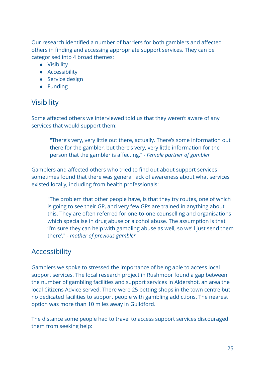Our research identified a number of barriers for both gamblers and affected others in finding and accessing appropriate support services. They can be categorised into 4 broad themes:

- Visibility
- Accessibility
- Service design
- Funding

# <span id="page-25-0"></span>**Visibility**

Some affected others we interviewed told us that they weren't aware of any services that would support them:

"There's very, very little out there, actually. There's some information out there for the gambler, but there's very, very little information for the person that the gambler is affecting." - *Female partner of gambler*

Gamblers and affected others who tried to find out about support services sometimes found that there was general lack of awareness about what services existed locally, including from health professionals:

"The problem that other people have, is that they try routes, one of which is going to see their GP, and very few GPs are trained in anything about this. They are often referred for one-to-one counselling and organisations which specialise in drug abuse or alcohol abuse. The assumption is that 'I'm sure they can help with gambling abuse as well, so we'll just send them there'." - *mother of previous gambler*

### <span id="page-25-1"></span>Accessibility

Gamblers we spoke to stressed the importance of being able to access local support services. The local research project in Rushmoor found a gap between the number of gambling facilities and support services in Aldershot, an area the local Citizens Advice served. There were 25 betting shops in the town centre but no dedicated facilities to support people with gambling addictions. The nearest option was more than 10 miles away in Guildford.

The distance some people had to travel to access support services discouraged them from seeking help: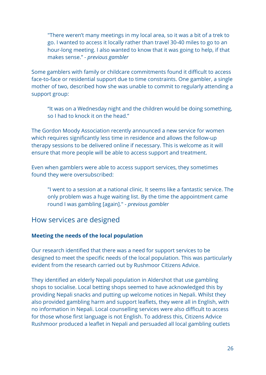"There weren't many meetings in my local area, so it was a bit of a trek to go. I wanted to access it locally rather than travel 30-40 miles to go to an hour-long meeting. I also wanted to know that it was going to help, if that makes sense." *- previous gambler*

Some gamblers with family or childcare commitments found it difficult to access face-to-face or residential support due to time constraints. One gambler, a single mother of two, described how she was unable to commit to regularly attending a support group:

"It was on a Wednesday night and the children would be doing something, so I had to knock it on the head."

The Gordon Moody Association recently announced a new service for women which requires significantly less time in residence and allows the follow-up therapy sessions to be delivered online if necessary. This is welcome as it will ensure that more people will be able to access support and treatment.

Even when gamblers were able to access support services, they sometimes found they were oversubscribed:

"I went to a session at a national clinic. It seems like a fantastic service. The only problem was a huge waiting list. By the time the appointment came round I was gambling [again]." *- previous gambler*

### <span id="page-26-0"></span>How services are designed

#### **Meeting the needs of the local population**

Our research identified that there was a need for support services to be designed to meet the specific needs of the local population. This was particularly evident from the research carried out by Rushmoor Citizens Advice.

They identified an elderly Nepali population in Aldershot that use gambling shops to socialise. Local betting shops seemed to have acknowledged this by providing Nepali snacks and putting up welcome notices in Nepali. Whilst they also provided gambling harm and support leaflets, they were all in English, with no information in Nepali. Local counselling services were also difficult to access for those whose first language is not English. To address this, Citizens Advice Rushmoor produced a leaflet in Nepali and persuaded all local gambling outlets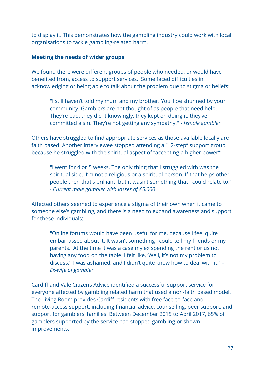to display it. This demonstrates how the gambling industry could work with local organisations to tackle gambling-related harm.

#### **Meeting the needs of wider groups**

We found there were different groups of people who needed, or would have benefited from, access to support services. Some faced difficulties in acknowledging or being able to talk about the problem due to stigma or beliefs:

"I still haven't told my mum and my brother. You'll be shunned by your community. Gamblers are not thought of as people that need help. They're bad, they did it knowingly, they kept on doing it, they've committed a sin. They're not getting any sympathy." *- female gambler*

Others have struggled to find appropriate services as those available locally are faith based. Another interviewee stopped attending a "12-step" support group because he struggled with the spiritual aspect of "accepting a higher power":

"I went for 4 or 5 weeks. The only thing that I struggled with was the spiritual side. I'm not a religious or a spiritual person. If that helps other people then that's brilliant, but it wasn't something that I could relate to." - *Current male gambler with losses of £5,000*

Affected others seemed to experience a stigma of their own when it came to someone else's gambling, and there is a need to expand awareness and support for these individuals:

"Online forums would have been useful for me, because I feel quite embarrassed about it. It wasn't something I could tell my friends or my parents. At the time it was a case my ex spending the rent or us not having any food on the table. I felt like, 'Well, it's not my problem to discuss.' I was ashamed, and I didn't quite know how to deal with it." - *Ex-wife of gambler*

Cardiff and Vale Citizens Advice identified a successful support service for everyone affected by gambling related harm that used a non-faith based model. The Living Room provides Cardiff residents with free face-to-face and remote-access support, including financial advice, counselling, peer support, and support for gamblers' families. Between December 2015 to April 2017, 65% of gamblers supported by the service had stopped gambling or shown improvements.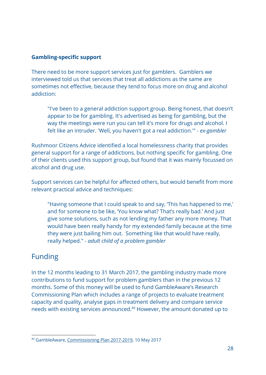#### **Gambling-specific support**

There need to be more support services just for gamblers. Gamblers we interviewed told us that services that treat all addictions as the same are sometimes not effective, because they tend to focus more on drug and alcohol addiction:

"I've been to a general addiction support group. Being honest, that doesn't appear to be for gambling. It's advertised as being for gambling, but the way the meetings were run you can tell it's more for drugs and alcohol. I felt like an intruder. 'Well, you haven't got a real addiction.'" - *ex-gambler*

Rushmoor Citizens Advice identified a local homelessness charity that provides general support for a range of addictions, but nothing specific for gambling. One of their clients used this support group, but found that it was mainly focussed on alcohol and drug use.

Support services can be helpful for affected others, but would benefit from more relevant practical advice and techniques:

"Having someone that I could speak to and say, 'This has happened to me,' and for someone to be like, 'You know what? That's really bad.' And just give some solutions, such as not lending my father any more money. That would have been really handy for my extended family because at the time they were just bailing him out. Something like that would have really, really helped." *- adult child of a problem gambler*

### <span id="page-28-0"></span>Funding

In the 12 months leading to 31 March 2017, the gambling industry made more contributions to fund support for problem gamblers than in the previous 12 months. Some of this money will be used to fund GambleAware's Research Commissioning Plan which includes a range of projects to evaluate treatment capacity and quality, analyse gaps in treatment delivery and compare service needs with existing services announced.<sup>40</sup> However, the amount donated up to

<sup>40</sup> GambleAware, [Commissioning](https://about.gambleaware.org/media/1480/gambleaware-commissioning-plan-2017-19.pdf) Plan 2017-2019, 10 May 2017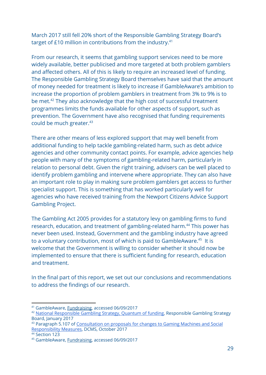March 2017 still fell 20% short of the Responsible Gambling Strategy Board's target of £10 million in contributions from the industry.<sup>41</sup>

From our research, it seems that gambling support services need to be more widely available, better publicised and more targeted at both problem gamblers and affected others. All of this is likely to require an increased level of funding. The Responsible Gambling Strategy Board themselves have said that the amount of money needed for treatment is likely to increase if GambleAware's ambition to increase the proportion of problem gamblers in treatment from 3% to 9% is to be met.<sup>42</sup> They also acknowledge that the high cost of successful treatment programmes limits the funds available for other aspects of support, such as prevention. The Government have also recognised that funding requirements could be much greater.<sup>43</sup>

There are other means of less explored support that may well benefit from additional funding to help tackle gambling-related harm, such as debt advice agencies and other community contact points. For example, advice agencies help people with many of the symptoms of gambling-related harm, particularly in relation to personal debt. Given the right training, advisers can be well placed to identify problem gambling and intervene where appropriate. They can also have an important role to play in making sure problem gamblers get access to further specialist support. This is something that has worked particularly well for agencies who have received training from the Newport Citizens Advice Support Gambling Project.

The Gambling Act 2005 provides for a statutory levy on gambling firms to fund research, education, and treatment of gambling-related harm.<sup>44</sup> This power has never been used. Instead, Government and the gambling industry have agreed to a voluntary contribution, most of which is paid to GambleAware.<sup>45</sup> It is welcome that the Government is willing to consider whether it should now be implemented to ensure that there is sufficient funding for research, education and treatment.

In the final part of this report, we set out our conclusions and recommendations to address the findings of our research.

<sup>41</sup> GambleAware, [Fundraising,](https://about.gambleaware.org/fundraising/) accessed 06/09/2017

<sup>&</sup>lt;sup>42</sup> National [Responsible](http://www.rgsb.org.uk/PDF/Quantum-of-funding-January-2017.pdf) Gambling Strategy, Quantum of funding, Responsible Gambling Strategy Board, January 2017

<sup>43</sup> Paragraph 5.107 of [Consultation](https://www.gov.uk/government/uploads/system/uploads/attachment_data/file/655969/Consultation_on_proposals_for_changes_to_Gaming_Machines_and_Social_Responsibility_Measures.pdf) on proposals for changes to Gaming Machines and Social [Responsibility](https://www.gov.uk/government/uploads/system/uploads/attachment_data/file/655969/Consultation_on_proposals_for_changes_to_Gaming_Machines_and_Social_Responsibility_Measures.pdf) Measures, DCMS, October 2017

<sup>44</sup> Section 123

<sup>45</sup> GambleAware, [Fundraising,](https://about.gambleaware.org/fundraising/) accessed 06/09/2017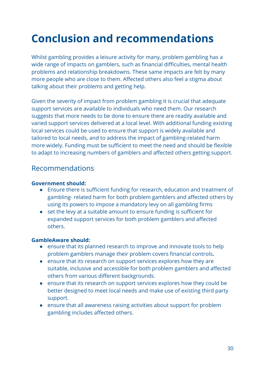# <span id="page-30-0"></span>**Conclusion and recommendations**

Whilst gambling provides a leisure activity for many, problem gambling has a wide range of impacts on gamblers, such as financial difficulties, mental health problems and relationship breakdowns. These same impacts are felt by many more people who are close to them. Affected others also feel a stigma about talking about their problems and getting help.

Given the severity of impact from problem gambling it is crucial that adequate support services are available to individuals who need them. Our research suggests that more needs to be done to ensure there are readily available and varied support services delivered at a local level. With additional funding existing local services could be used to ensure that support is widely available and tailored to local needs, and to address the impact of gambling-related harm more widely. Funding must be sufficient to meet the need and should be flexible to adapt to increasing numbers of gamblers and affected others getting support.

### <span id="page-30-1"></span>Recommendations

#### **Government should:**

- Ensure there is sufficient funding for research, education and treatment of gambling- related harm for both problem gamblers and affected others by using its powers to impose a mandatory levy on all gambling firms
- set the levy at a suitable amount to ensure funding is sufficient for expanded support services for both problem gamblers and affected others.

#### **GambleAware should:**

- ensure that its planned research to improve and innovate tools to help problem gamblers manage their problem covers financial controls**.**
- ensure that its research on support services explores how they are suitable, inclusive and accessible for both problem gamblers and affected others from various different backgrounds.
- ensure that its research on support services explores how they could be better designed to meet local needs and make use of existing third party support.
- ensure that all awareness raising activities about support for problem gambling includes affected others.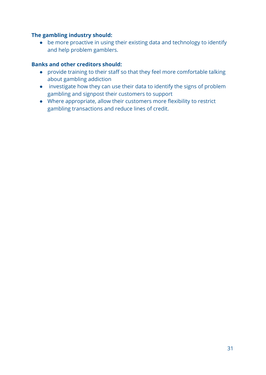#### **The gambling industry should:**

● be more proactive in using their existing data and technology to identify and help problem gamblers.

#### **Banks and other creditors should:**

- provide training to their staff so that they feel more comfortable talking about gambling addiction
- investigate how they can use their data to identify the signs of problem gambling and signpost their customers to support
- Where appropriate, allow their customers more flexibility to restrict gambling transactions and reduce lines of credit.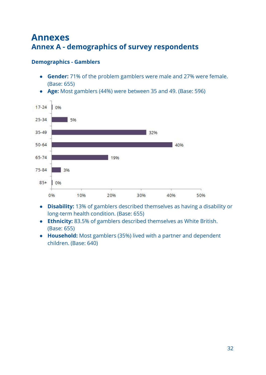# <span id="page-32-1"></span><span id="page-32-0"></span>**Annexes Annex A - demographics of survey respondents**

#### **Demographics - Gamblers**

- **Gender:** 71% of the problem gamblers were male and 27% were female. (Base: 655)
- **● Age:** Most gamblers (44%) were between 35 and 49. (Base: 596)



- **● Disability:** 13% of gamblers described themselves as having a disability or long-term health condition. (Base: 655)
- **● Ethnicity:** 83.5% of gamblers described themselves as White British. (Base: 655)
- **● Household:** Most gamblers (35%) lived with a partner and dependent children. (Base: 640)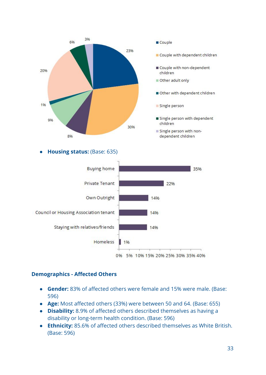

**● Housing status:** (Base: 635)



#### **Demographics - Affected Others**

- **Gender:** 83% of affected others were female and 15% were male. (Base: 596)
- **● Age:** Most affected others (33%) were between 50 and 64. (Base: 655)
- **Disability:** 8.9% of affected others described themselves as having a disability or long-term health condition. (Base: 596)
- **● Ethnicity:** 85.6% of affected others described themselves as White British. (Base: 596)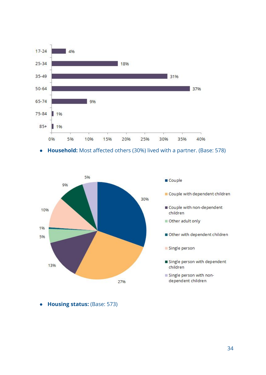

**● Household:** Most affected others (30%) lived with a partner. (Base: 578)



● **Housing status:** (Base: 573)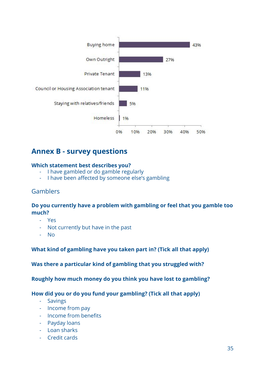

# <span id="page-35-0"></span>**Annex B - survey questions**

#### **Which statement best describes you?**

- I have gambled or do gamble regularly
- I have been affected by someone else's gambling

#### Gamblers

#### **Do you currently have a problem with gambling or feel that you gamble too much?**

- Yes
- Not currently but have in the past
- No

#### **What kind of gambling have you taken part in? (Tick all that apply)**

**Was there a particular kind of gambling that you struggled with?**

**Roughly how much money do you think you have lost to gambling?**

#### **How did you or do you fund your gambling? (Tick all that apply)**

- Savings
- Income from pay
- Income from benefits
- Payday loans
- Loan sharks
- Credit cards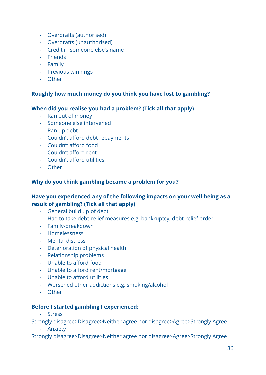- Overdrafts (authorised)
- Overdrafts (unauthorised)
- Credit in someone else's name
- Friends
- Family
- Previous winnings
- Other

#### **Roughly how much money do you think you have lost to gambling?**

#### **When did you realise you had a problem? (Tick all that apply)**

- Ran out of money
- Someone else intervened
- Ran up debt
- Couldn't afford debt repayments
- Couldn't afford food
- Couldn't afford rent
- Couldn't afford utilities
- Other

#### **Why do you think gambling became a problem for you?**

#### **Have you experienced any of the following impacts on your well-being as a result of gambling? (Tick all that apply)**

- General build up of debt
- Had to take debt-relief measures e.g. bankruptcy, debt-relief order
- Family-breakdown
- Homelessness
- Mental distress
- Deterioration of physical health
- Relationship problems
- Unable to afford food
- Unable to afford rent/mortgage
- Unable to afford utilities
- Worsened other addictions e.g. smoking/alcohol
- Other

#### **Before I started gambling I experienced:**

- Stress

Strongly disagree>Disagree>Neither agree nor disagree>Agree>Strongly Agree

- Anxiety

Strongly disagree>Disagree>Neither agree nor disagree>Agree>Strongly Agree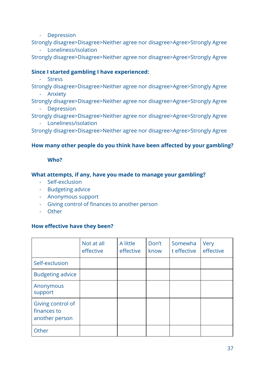- Depression

Strongly disagree>Disagree>Neither agree nor disagree>Agree>Strongly Agree

- Loneliness/isolation

Strongly disagree>Disagree>Neither agree nor disagree>Agree>Strongly Agree

#### **Since I started gambling I have experienced:**

- Stress

Strongly disagree>Disagree>Neither agree nor disagree>Agree>Strongly Agree

- Anxiety

Strongly disagree>Disagree>Neither agree nor disagree>Agree>Strongly Agree - Depression

Strongly disagree>Disagree>Neither agree nor disagree>Agree>Strongly Agree - Loneliness/isolation

Strongly disagree>Disagree>Neither agree nor disagree>Agree>Strongly Agree

#### **How many other people do you think have been affected by your gambling?**

#### **Who?**

#### **What attempts, if any, have you made to manage your gambling?**

- Self-exclusion
- Budgeting advice
- Anonymous support
- Giving control of finances to another person
- Other

#### **How effective have they been?**

|                                                    | Not at all<br>effective | A little<br>effective | Don't<br>know | Somewha<br>t effective | Very<br>effective |
|----------------------------------------------------|-------------------------|-----------------------|---------------|------------------------|-------------------|
| Self-exclusion                                     |                         |                       |               |                        |                   |
| <b>Budgeting advice</b>                            |                         |                       |               |                        |                   |
| Anonymous<br>support                               |                         |                       |               |                        |                   |
| Giving control of<br>finances to<br>another person |                         |                       |               |                        |                   |
| Other                                              |                         |                       |               |                        |                   |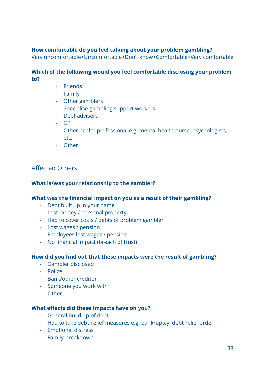#### **How comfortable do you feel talking about your problem gambling?**

Very uncomfortable>Uncomfortable>Don't know>Comfortable>Very comfortable

#### **Which of the following would you feel comfortable disclosing your problem to?**

- Friends
- Family
- Other gamblers
- Specialise gambling support workers
- Debt advisers
- GP
- Other health professional e.g. mental health nurse, psychologists, etc.
- Other

#### Affected Others

#### **What is/was your relationship to the gambler?**

#### **What was the financial impact on you as a result of their gambling?**

- Debt built up in your name
- Lost money / personal property
- Had to cover costs / debts of problem gambler
- Lost wages / pension
- Employees lost wages / pension
- No financial impact (breach of trust)

#### **How did you find out that these impacts were the result of gambling?**

- Gambler disclosed
- Police
- Bank/other creditor
- Someone you work with
- Other

#### **What effects did these impacts have on you?**

- General build up of debt
- Had to take debt-relief measures e.g. bankruptcy, debt-relief order
- Emotional distress
- Family-breakdown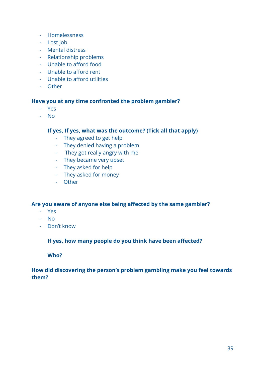- Homelessness
- Lost job
- Mental distress
- Relationship problems
- Unable to afford food
- Unable to afford rent
- Unable to afford utilities
- Other

#### **Have you at any time confronted the problem gambler?**

- Yes
- No

#### **If yes, If yes, what was the outcome? (Tick all that apply)**

- They agreed to get help
- They denied having a problem
- They got really angry with me
- They became very upset
- They asked for help
- They asked for money
- Other

#### **Are you aware of anyone else being affected by the same gambler?**

- Yes
- No
- Don't know

#### **If yes, how many people do you think have been affected?**

#### **Who?**

#### **How did discovering the person's problem gambling make you feel towards them?**